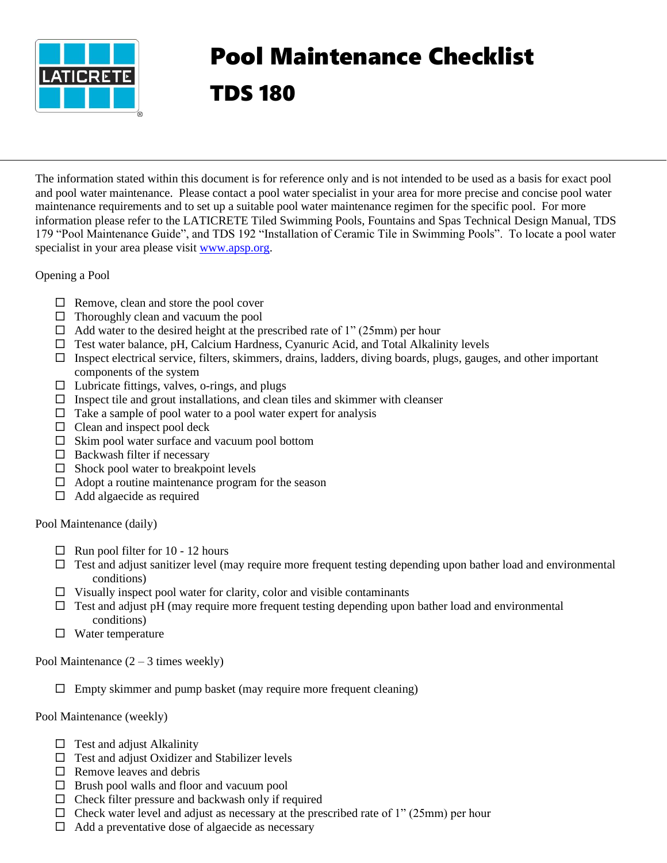

## Pool Maintenance Checklist TDS 180

The information stated within this document is for reference only and is not intended to be used as a basis for exact pool and pool water maintenance. Please contact a pool water specialist in your area for more precise and concise pool water maintenance requirements and to set up a suitable pool water maintenance regimen for the specific pool. For more information please refer to the LATICRETE Tiled Swimming Pools, Fountains and Spas Technical Design Manual, TDS 179 "Pool Maintenance Guide", and TDS 192 "Installation of Ceramic Tile in Swimming Pools". To locate a pool water specialist in your area please visit [www.apsp.org.](http://www.apsp.org/)

Opening a Pool

- $\Box$  Remove, clean and store the pool cover
- $\Box$  Thoroughly clean and vacuum the pool
- $\Box$  Add water to the desired height at the prescribed rate of 1" (25mm) per hour
- $\Box$  Test water balance, pH, Calcium Hardness, Cyanuric Acid, and Total Alkalinity levels
- $\Box$  Inspect electrical service, filters, skimmers, drains, ladders, diving boards, plugs, gauges, and other important components of the system
- $\Box$  Lubricate fittings, valves, o-rings, and plugs
- $\Box$  Inspect tile and grout installations, and clean tiles and skimmer with cleanser
- $\Box$  Take a sample of pool water to a pool water expert for analysis
- $\Box$  Clean and inspect pool deck
- $\Box$  Skim pool water surface and vacuum pool bottom
- $\Box$  Backwash filter if necessary
- $\Box$  Shock pool water to breakpoint levels
- $\Box$  Adopt a routine maintenance program for the season
- $\Box$  Add algaecide as required

Pool Maintenance (daily)

- $\Box$  Run pool filter for 10 12 hours
- $\Box$  Test and adjust sanitizer level (may require more frequent testing depending upon bather load and environmental conditions)
- $\Box$  Visually inspect pool water for clarity, color and visible contaminants
- $\Box$  Test and adjust pH (may require more frequent testing depending upon bather load and environmental conditions)
- $\Box$  Water temperature

Pool Maintenance  $(2 – 3$  times weekly)

 $\square$  Empty skimmer and pump basket (may require more frequent cleaning)

Pool Maintenance (weekly)

- $\Box$  Test and adjust Alkalinity
- $\Box$  Test and adjust Oxidizer and Stabilizer levels
- $\Box$  Remove leaves and debris
- $\Box$  Brush pool walls and floor and vacuum pool
- $\Box$  Check filter pressure and backwash only if required
- $\Box$  Check water level and adjust as necessary at the prescribed rate of 1" (25mm) per hour
- $\Box$  Add a preventative dose of algaecide as necessary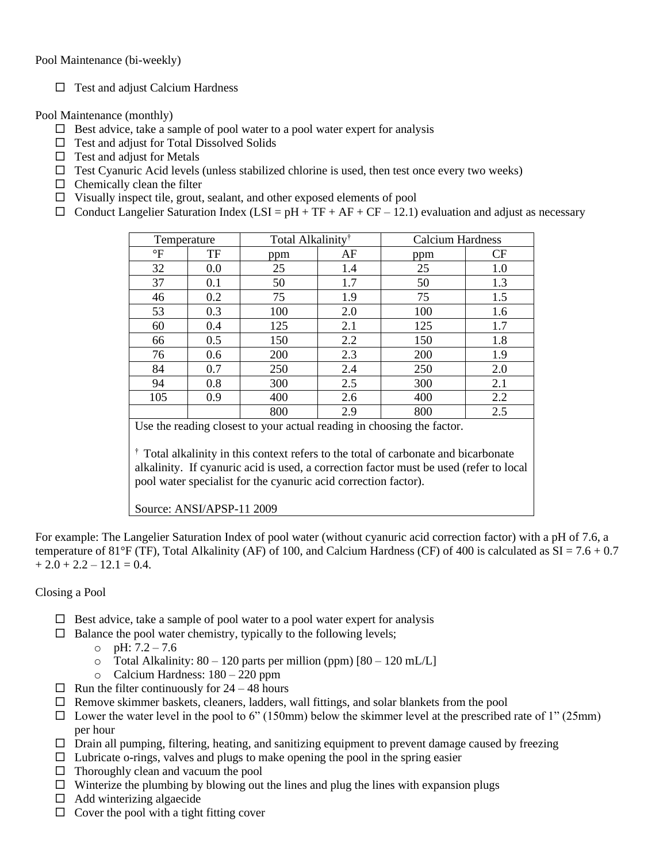Pool Maintenance (bi-weekly)

 $\Box$  Test and adjust Calcium Hardness

Pool Maintenance (monthly)

- $\Box$  Best advice, take a sample of pool water to a pool water expert for analysis
- $\Box$  Test and adjust for Total Dissolved Solids
- $\Box$  Test and adjust for Metals
- $\Box$  Test Cyanuric Acid levels (unless stabilized chlorine is used, then test once every two weeks)
- $\Box$  Chemically clean the filter
- $\Box$  Visually inspect tile, grout, sealant, and other exposed elements of pool
- $\Box$  Conduct Langelier Saturation Index (LSI = pH + TF + AF + CF 12.1) evaluation and adjust as necessary

| Temperature                                                                       |     | Total Alkalinity <sup>†</sup> |     | <b>Calcium Hardness</b> |           |  |
|-----------------------------------------------------------------------------------|-----|-------------------------------|-----|-------------------------|-----------|--|
| $\mathrm{P}$                                                                      | TF  | ppm                           | AF  | ppm                     | <b>CF</b> |  |
| 32                                                                                | 0.0 | 25                            | 1.4 | 25                      | 1.0       |  |
| 37                                                                                | 0.1 | 50                            | 1.7 | 50                      | 1.3       |  |
| 46                                                                                | 0.2 | 75                            | 1.9 | 75                      | 1.5       |  |
| 53                                                                                | 0.3 | 100                           | 2.0 | 100                     | 1.6       |  |
| 60                                                                                | 0.4 | 125                           | 2.1 | 125                     | 1.7       |  |
| 66                                                                                | 0.5 | 150                           | 2.2 | 150                     | 1.8       |  |
| 76                                                                                | 0.6 | 200                           | 2.3 | 200                     | 1.9       |  |
| 84                                                                                | 0.7 | 250                           | 2.4 | 250                     | 2.0       |  |
| 94                                                                                | 0.8 | 300                           | 2.5 | 300                     | 2.1       |  |
| 105                                                                               | 0.9 | 400                           | 2.6 | 400                     | 2.2       |  |
|                                                                                   |     | 800                           | 2.9 | 800                     | 2.5       |  |
| Use the reading closest to your actual reading in choosing the factor.            |     |                               |     |                         |           |  |
| Total alkalinity in this context refers to the total of carbonate and bicarbonate |     |                               |     |                         |           |  |

† Total alkalinity in this context refers to the total of carbonate and bicarbonate alkalinity. If cyanuric acid is used, a correction factor must be used (refer to local pool water specialist for the cyanuric acid correction factor).

## Source: ANSI/APSP-11 2009

For example: The Langelier Saturation Index of pool water (without cyanuric acid correction factor) with a pH of 7.6, a temperature of 81°F (TF), Total Alkalinity (AF) of 100, and Calcium Hardness (CF) of 400 is calculated as  $SI = 7.6 + 0.7$  $+ 2.0 + 2.2 - 12.1 = 0.4.$ 

## Closing a Pool

- $\Box$  Best advice, take a sample of pool water to a pool water expert for analysis
- $\Box$  Balance the pool water chemistry, typically to the following levels;
	- $O$  pH:  $7.2 7.6$
	- o Total Alkalinity:  $80 120$  parts per million (ppm)  $[80 120$  mL/L]
	- o Calcium Hardness: 180 220 ppm
- $\Box$  Run the filter continuously for 24 48 hours
- $\Box$  Remove skimmer baskets, cleaners, ladders, wall fittings, and solar blankets from the pool
- $\Box$  Lower the water level in the pool to 6" (150mm) below the skimmer level at the prescribed rate of 1" (25mm) per hour
- $\Box$  Drain all pumping, filtering, heating, and sanitizing equipment to prevent damage caused by freezing
- $\Box$  Lubricate o-rings, valves and plugs to make opening the pool in the spring easier
- $\Box$  Thoroughly clean and vacuum the pool
- $\Box$  Winterize the plumbing by blowing out the lines and plug the lines with expansion plugs
- $\Box$  Add winterizing algaecide
- $\Box$  Cover the pool with a tight fitting cover